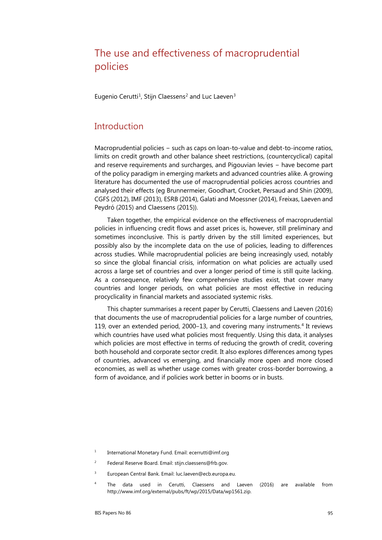# The use and effectiveness of macroprudential policies

Eugenio Cerutti<sup>1</sup>, Stijn Claessens<sup>[2](#page-0-1)</sup> and Luc Laeven<sup>[3](#page-0-2)</sup>

### **Introduction**

Macroprudential policies − such as caps on loan-to-value and debt-to-income ratios, limits on credit growth and other balance sheet restrictions, (countercyclical) capital and reserve requirements and surcharges, and Pigouvian levies − have become part of the policy paradigm in emerging markets and advanced countries alike. A growing literature has documented the use of macroprudential policies across countries and analysed their effects (eg Brunnermeier, Goodhart, Crocket, Persaud and Shin (2009), CGFS (2012), IMF (2013), ESRB (2014), Galati and Moessner (2014), Freixas, Laeven and Peydró (2015) and Claessens (2015)).

Taken together, the empirical evidence on the effectiveness of macroprudential policies in influencing credit flows and asset prices is, however, still preliminary and sometimes inconclusive. This is partly driven by the still limited experiences, but possibly also by the incomplete data on the use of policies, leading to differences across studies. While macroprudential policies are being increasingly used, notably so since the global financial crisis, information on what policies are actually used across a large set of countries and over a longer period of time is still quite lacking. As a consequence, relatively few comprehensive studies exist, that cover many countries and longer periods, on what policies are most effective in reducing procyclicality in financial markets and associated systemic risks.

This chapter summarises a recent paper by Cerutti, Claessens and Laeven (2016) that documents the use of macroprudential policies for a large number of countries, 119, over an extended period, 2000–13, and covering many instruments.<sup>[4](#page-0-3)</sup> It reviews which countries have used what policies most frequently. Using this data, it analyses which policies are most effective in terms of reducing the growth of credit, covering both household and corporate sector credit. It also explores differences among types of countries, advanced vs emerging, and financially more open and more closed economies, as well as whether usage comes with greater cross-border borrowing, a form of avoidance, and if policies work better in booms or in busts.

- <span id="page-0-0"></span><sup>1</sup> International Monetary Fund. Email: ecerrutti@imf.org
- <span id="page-0-1"></span><sup>2</sup> Federal Reserve Board. Email: stijn.claessens@frb.gov.
- <span id="page-0-2"></span><sup>3</sup> European Central Bank. Email[: luc.laeven@ecb.europa.eu.](mailto:luc.laeven@ecb.europa.eu)
- <span id="page-0-3"></span><sup>4</sup> The data used in Cerutti, Claessens and Laeven (2016) are available from [http://www.imf.org/external/pubs/ft/wp/2015/Data/wp1561.zip.](http://www.imf.org/external/pubs/ft/wp/2015/Data/wp1561.zip)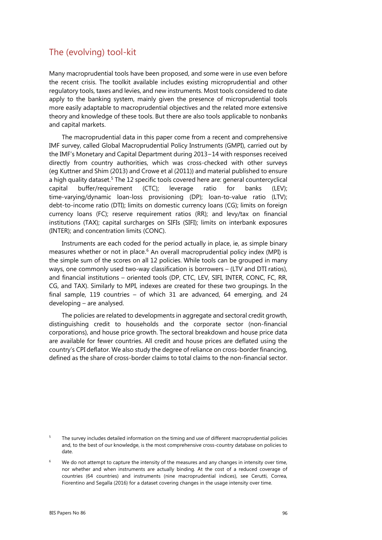# The (evolving) tool-kit

Many macroprudential tools have been proposed, and some were in use even before the recent crisis. The toolkit available includes existing microprudential and other regulatory tools, taxes and levies, and new instruments. Most tools considered to date apply to the banking system, mainly given the presence of microprudential tools more easily adaptable to macroprudential objectives and the related more extensive theory and knowledge of these tools. But there are also tools applicable to nonbanks and capital markets.

The macroprudential data in this paper come from a recent and comprehensive IMF survey, called Global Macroprudential Policy Instruments (GMPI), carried out by the IMF's Monetary and Capital Department during 2013−14 with responses received directly from country authorities, which was cross-checked with other surveys (eg Kuttner and Shim (2013) and Crowe et al (2011)) and material published to ensure a high quality dataset.<sup>[5](#page-1-0)</sup> The 12 specific tools covered here are: general countercyclical capital buffer/requirement (CTC); leverage ratio for banks (LEV); time-varying/dynamic loan-loss provisioning (DP); loan-to-value ratio (LTV); debt-to-income ratio (DTI); limits on domestic currency loans (CG); limits on foreign currency loans (FC); reserve requirement ratios (RR); and levy/tax on financial institutions (TAX); capital surcharges on SIFIs (SIFI); limits on interbank exposures (INTER); and concentration limits (CONC).

Instruments are each coded for the period actually in place, ie, as simple binary measures whether or not in place.<sup>[6](#page-1-1)</sup> An overall macroprudential policy index (MPI) is the simple sum of the scores on all 12 policies. While tools can be grouped in many ways, one commonly used two-way classification is borrowers – (LTV and DTI ratios), and financial institutions – oriented tools (DP, CTC, LEV, SIFI, INTER, CONC, FC, RR, CG, and TAX). Similarly to MPI, indexes are created for these two groupings. In the final sample, 119 countries – of which 31 are advanced, 64 emerging, and 24 developing – are analysed.

The policies are related to developments in aggregate and sectoral credit growth, distinguishing credit to households and the corporate sector (non-financial corporations), and house price growth. The sectoral breakdown and house price data are available for fewer countries. All credit and house prices are deflated using the country's CPI deflator. We also study the degree of reliance on cross-border financing, defined as the share of cross-border claims to total claims to the non-financial sector.

<span id="page-1-0"></span><sup>&</sup>lt;sup>5</sup> The survey includes detailed information on the timing and use of different macroprudential policies and, to the best of our knowledge, is the most comprehensive cross-country database on policies to date.

<span id="page-1-1"></span>We do not attempt to capture the intensity of the measures and any changes in intensity over time, nor whether and when instruments are actually binding. At the cost of a reduced coverage of countries (64 countries) and instruments (nine macroprudential indices), see Cerutti, Correa, Fiorentino and Segalla (2016) for a dataset covering changes in the usage intensity over time.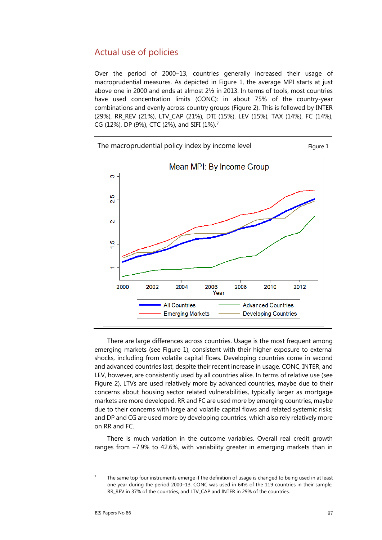### Actual use of policies

Over the period of 2000-13, countries generally increased their usage of macroprudential measures. As depicted in Figure 1, the average MPI starts at just above one in 2000 and ends at almost 2½ in 2013. In terms of tools, most countries have used concentration limits (CONC): in about 75% of the country-year combinations and evenly across country groups (Figure 2). This is followed by INTER (29%), RR\_REV (21%), LTV\_CAP (21%), DTI (15%), LEV (15%), TAX (14%), FC (14%), CG (12%), DP (9%), CTC (2%), and SIFI (1%).[7](#page-2-0)



There are large differences across countries. Usage is the most frequent among emerging markets (see Figure 1), consistent with their higher exposure to external shocks, including from volatile capital flows. Developing countries come in second and advanced countries last, despite their recent increase in usage. CONC, INTER, and LEV, however, are consistently used by all countries alike. In terms of relative use (see Figure 2), LTVs are used relatively more by advanced countries, maybe due to their concerns about housing sector related vulnerabilities, typically larger as mortgage markets are more developed. RR and FC are used more by emerging countries, maybe due to their concerns with large and volatile capital flows and related systemic risks; and DP and CG are used more by developing countries, which also rely relatively more on RR and FC.

There is much variation in the outcome variables. Overall real credit growth ranges from -7.9% to 42.6%, with variability greater in emerging markets than in

<span id="page-2-0"></span>The same top four instruments emerge if the definition of usage is changed to being used in at least one year during the period 2000-13. CONC was used in 64% of the 119 countries in their sample, RR\_REV in 37% of the countries, and LTV\_CAP and INTER in 29% of the countries.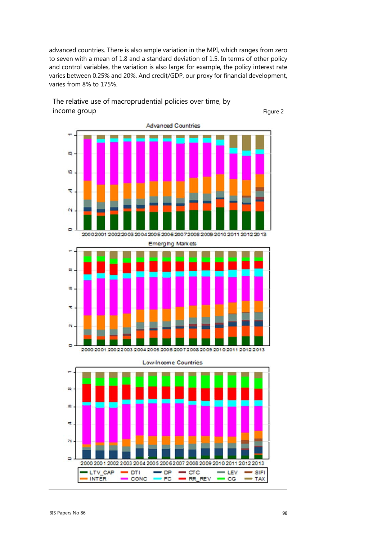advanced countries. There is also ample variation in the MPI, which ranges from zero to seven with a mean of 1.8 and a standard deviation of 1.5. In terms of other policy and control variables, the variation is also large: for example, the policy interest rate varies between 0.25% and 20%. And credit/GDP, our proxy for financial development, varies from 8% to 175%.

The relative use of macroprudential policies over time, by income group and the state of the state of the state of the state of the state  $\frac{1}{2}$ 



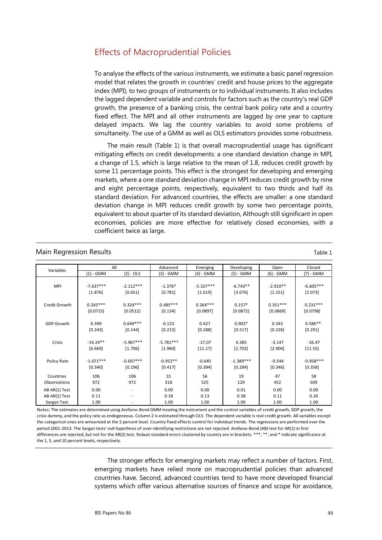# Effects of Macroprudential Policies

To analyse the effects of the various instruments, we estimate a basic panel regression model that relates the growth in countries' credit and house prices to the aggregate index (MPI), to two groups of instruments or to individual instruments. It also includes the lagged dependent variable and controls for factors such as the country's real GDP growth, the presence of a banking crisis, the central bank policy rate and a country fixed effect. The MPI and all other instruments are lagged by one year to capture delayed impacts. We lag the country variables to avoid some problems of simultaneity. The use of a GMM as well as OLS estimators provides some robustness.

The main result (Table 1) is that overall macroprudential usage has significant mitigating effects on credit developments: a one standard deviation change in MPI, a change of 1.5, which is large relative to the mean of 1.8, reduces credit growth by some 11 percentage points. This effect is the strongest for developing and emerging markets, where a one standard deviation change in MPI reduces credit growth by nine and eight percentage points, respectively, equivalent to two thirds and half its standard deviation. For advanced countries, the effects are smaller: a one standard deviation change in MPI reduces credit growth by some two percentage points, equivalent to about quarter of its standard deviation, Although still significant in open economies, policies are more effective for relatively closed economies, with a coefficient twice as large.

#### Main Regression Results **Table 1** and the set of the set of the set of the set of the set of the set of the set of the set of the set of the set of the set of the set of the set of the set of the set of the set of the set

| Variables         | All         |                          | Advanced    | Emerging    | Developing  | Open        | Closed      |
|-------------------|-------------|--------------------------|-------------|-------------|-------------|-------------|-------------|
|                   | $(1)$ - GMM | $(2) - OLS$              | $(3) - GMM$ | $(4)$ - GMM | (5) - GMM   | $(6) - GMM$ | (7) - GMM   |
|                   |             |                          |             |             |             |             |             |
| <b>MPI</b>        | $-7.637***$ | $-2.112***$              | $-1.376*$   | $-5.327***$ | $-6.743**$  | $-2.910**$  | $-6.605***$ |
|                   | [1.876]     | [0.651]                  | [0.781]     | [1.619]     | [3.076]     | [1.251]     | [2.073]     |
|                   |             |                          |             |             |             |             |             |
| Credit Growth     | $0.245***$  | $0.324***$               | $0.485***$  | $0.264***$  | $0.157*$    | $0.351***$  | $0.231***$  |
|                   | [0.0715]    | [0.0512]                 | [0.134]     | [0.0897]    | [0.0872]    | [0.0869]    | [0.0798]    |
|                   |             |                          |             |             |             |             |             |
| <b>GDP Growth</b> | 0.399       | $0.649***$               | 0.123       | 0.427       | $0.902*$    | 0.343       | $0.586**$   |
|                   | [0.243]     | [0.144]                  | [0.215]     | [0.288]     | [0.517]     | [0.226]     | [0.291]     |
|                   |             |                          |             |             |             |             |             |
| Crisis            | $-14.24**$  | $-5.967***$              | $-5.781***$ | $-17.07$    | 4.385       | $-3.147$    | $-16.47$    |
|                   | [6.669]     | [1.706]                  | [1.984]     | [11.17]     | [2.702]     | [2.904]     | [11.55]     |
|                   |             |                          |             |             |             |             |             |
| Policy Rate       | $-1.071***$ | $-0.697***$              | $-0.952**$  | $-0.645$    | $-1.389***$ | $-0.544$    | $-0.958***$ |
|                   | [0.340]     | $[0.196]$                | [0.417]     | [0.394]     | [0.284]     | [0.346]     | [0.358]     |
| Countries         | 106         | 106                      | 31          | 56          | 19          | 47          | 58          |
| Observations      | 972         | 972                      | 318         | 525         | 129         | 452         | 509         |
| AB AR(1) Test     | 0.00        | $\overline{\phantom{a}}$ | 0.00        | 0.00        | 0.01        | 0.00        | 0.00        |
| AB AR(2) Test     | 0.11        | $\overline{\phantom{a}}$ | 0.18        | 0.13        | 0.38        | 0.11        | 0.26        |
| Sargan Test       | 1.00        |                          | 1.00        | 1.00        | 1.00        | 1.00        | 1.00        |

Notes: The estimates are determined using Arellano-Bond GMM treating the instrument and the control variables of credit growth, GDP growth, the crisis dummy, and the policy rate as endogeneous. Column 2 is estimated through OLS. The dependent variable is real credit growth. All variables except the categorical ones are winsorized at the 5 percent level. Country fixed effects control for individual trends. The regressions are performed over the period 2001-2013. The Sargan tests' null hypothesis of over-identifying restrictions are not rejected. Arellano-Bond (AB) test for AR(1) in first differences are rejected, but not for the AR(2) test. Robust standard errors clustered by country are in brackets. \*\*\*, \*\*, and \* indicate significance at the 1, 5, and 10 percent levels, respectively.

> The stronger effects for emerging markets may reflect a number of factors. First, emerging markets have relied more on macroprudential policies than advanced countries have. Second, advanced countries tend to have more developed financial systems which offer various alternative sources of finance and scope for avoidance,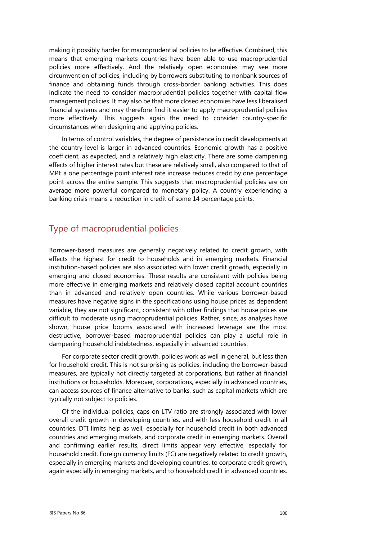making it possibly harder for macroprudential policies to be effective. Combined, this means that emerging markets countries have been able to use macroprudential policies more effectively. And the relatively open economies may see more circumvention of policies, including by borrowers substituting to nonbank sources of finance and obtaining funds through cross-border banking activities. This does indicate the need to consider macroprudential policies together with capital flow management policies. It may also be that more closed economies have less liberalised financial systems and may therefore find it easier to apply macroprudential policies more effectively. This suggests again the need to consider country-specific circumstances when designing and applying policies.

In terms of control variables, the degree of persistence in credit developments at the country level is larger in advanced countries. Economic growth has a positive coefficient, as expected, and a relatively high elasticity. There are some dampening effects of higher interest rates but these are relatively small, also compared to that of MPI: a one percentage point interest rate increase reduces credit by one percentage point across the entire sample. This suggests that macroprudential policies are on average more powerful compared to monetary policy. A country experiencing a banking crisis means a reduction in credit of some 14 percentage points.

## Type of macroprudential policies

Borrower-based measures are generally negatively related to credit growth, with effects the highest for credit to households and in emerging markets. Financial institution-based policies are also associated with lower credit growth, especially in emerging and closed economies. These results are consistent with policies being more effective in emerging markets and relatively closed capital account countries than in advanced and relatively open countries. While various borrower-based measures have negative signs in the specifications using house prices as dependent variable, they are not significant, consistent with other findings that house prices are difficult to moderate using macroprudential policies. Rather, since, as analyses have shown, house price booms associated with increased leverage are the most destructive, borrower-based macroprudential policies can play a useful role in dampening household indebtedness, especially in advanced countries.

For corporate sector credit growth, policies work as well in general, but less than for household credit. This is not surprising as policies, including the borrower-based measures, are typically not directly targeted at corporations, but rather at financial institutions or households. Moreover, corporations, especially in advanced countries, can access sources of finance alternative to banks, such as capital markets which are typically not subject to policies.

Of the individual policies, caps on LTV ratio are strongly associated with lower overall credit growth in developing countries, and with less household credit in all countries. DTI limits help as well, especially for household credit in both advanced countries and emerging markets, and corporate credit in emerging markets. Overall and confirming earlier results, direct limits appear very effective, especially for household credit. Foreign currency limits (FC) are negatively related to credit growth, especially in emerging markets and developing countries, to corporate credit growth, again especially in emerging markets, and to household credit in advanced countries.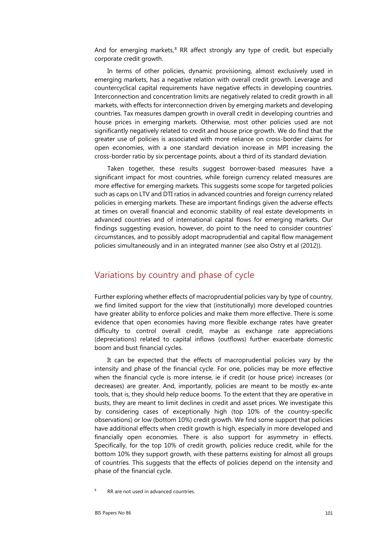And for emerging markets,<sup>[8](#page-6-0)</sup> RR affect strongly any type of credit, but especially corporate credit growth.

In terms of other policies, dynamic provisioning, almost exclusively used in emerging markets, has a negative relation with overall credit growth. Leverage and countercyclical capital requirements have negative effects in developing countries. Interconnection and concentration limits are negatively related to credit growth in all markets, with effects for interconnection driven by emerging markets and developing countries. Tax measures dampen growth in overall credit in developing countries and house prices in emerging markets. Otherwise, most other policies used are not significantly negatively related to credit and house price growth. We do find that the greater use of policies is associated with more reliance on cross-border claims for open economies, with a one standard deviation increase in MPI increasing the cross-border ratio by six percentage points, about a third of its standard deviation.

Taken together, these results suggest borrower-based measures have a significant impact for most countries, while foreign currency related measures are more effective for emerging markets. This suggests some scope for targeted policies such as caps on LTV and DTI ratios in advanced countries and foreign currency related policies in emerging markets. These are important findings given the adverse effects at times on overall financial and economic stability of real estate developments in advanced countries and of international capital flows for emerging markets. Our findings suggesting evasion, however, do point to the need to consider countries' circumstances, and to possibly adopt macroprudential and capital flow management policies simultaneously and in an integrated manner (see also Ostry et al (2012)).

### Variations by country and phase of cycle

Further exploring whether effects of macroprudential policies vary by type of country, we find limited support for the view that (institutionally) more developed countries have greater ability to enforce policies and make them more effective. There is some evidence that open economies having more flexible exchange rates have greater difficulty to control overall credit, maybe as exchange rate appreciations (depreciations) related to capital inflows (outflows) further exacerbate domestic boom and bust financial cycles.

It can be expected that the effects of macroprudential policies vary by the intensity and phase of the financial cycle. For one, policies may be more effective when the financial cycle is more intense, ie if credit (or house price) increases (or decreases) are greater. And, importantly, policies are meant to be mostly ex-ante tools, that is, they should help reduce booms. To the extent that they are operative in busts, they are meant to limit declines in credit and asset prices. We investigate this by considering cases of exceptionally high (top 10% of the country-specific observations) or low (bottom 10%) credit growth. We find some support that policies have additional effects when credit growth is high, especially in more developed and financially open economies. There is also support for asymmetry in effects. Specifically, for the top 10% of credit growth, policies reduce credit, while for the bottom 10% they support growth, with these patterns existing for almost all groups of countries. This suggests that the effects of policies depend on the intensity and phase of the financial cycle.

<span id="page-6-0"></span>RR are not used in advanced countries.